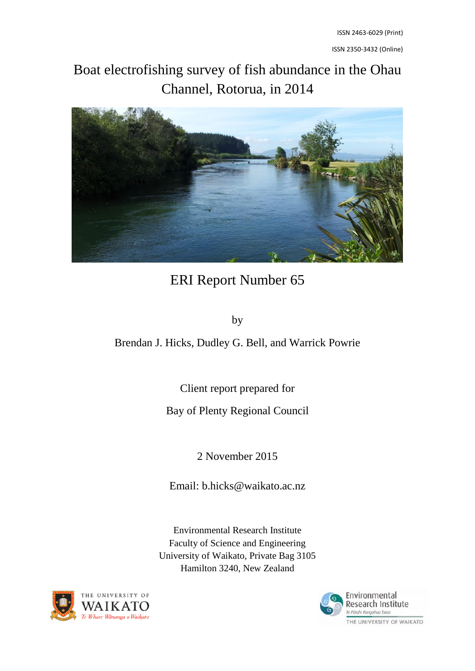ISSN 2350-3432 (Online)

# Boat electrofishing survey of fish abundance in the Ohau Channel, Rotorua, in 2014



# ERI Report Number 65

by

Brendan J. Hicks, Dudley G. Bell, and Warrick Powrie

Client report prepared for

Bay of Plenty Regional Council

2 November 2015

Email: b.hicks@waikato.ac.nz

Environmental Research Institute Faculty of Science and Engineering University of Waikato, Private Bag 3105 Hamilton 3240, New Zealand



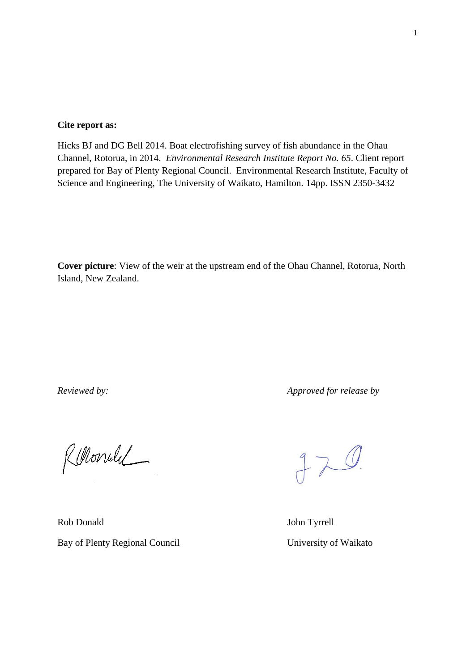#### **Cite report as:**

Hicks BJ and DG Bell 2014. Boat electrofishing survey of fish abundance in the Ohau Channel, Rotorua, in 2014. *Environmental Research Institute Report No. 65*. Client report prepared for Bay of Plenty Regional Council. Environmental Research Institute, Faculty of Science and Engineering, The University of Waikato, Hamilton. 14pp. ISSN 2350-3432

**Cover picture**: View of the weir at the upstream end of the Ohau Channel, Rotorua, North Island, New Zealand.

*Reviewed by: Approved for release by*

Rellonule

Rob Donald John Tyrrell Bay of Plenty Regional Council University of Waikato

 $JZ$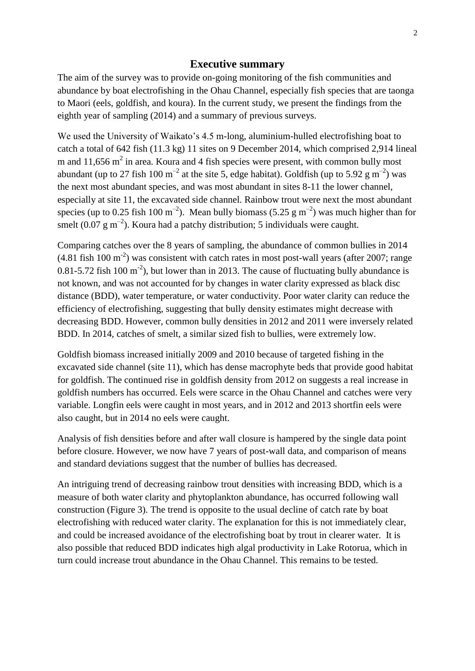#### **Executive summary**

<span id="page-2-0"></span>The aim of the survey was to provide on-going monitoring of the fish communities and abundance by boat electrofishing in the Ohau Channel, especially fish species that are taonga to Maori (eels, goldfish, and koura). In the current study, we present the findings from the eighth year of sampling (2014) and a summary of previous surveys.

We used the University of Waikato's 4.5 m-long, aluminium-hulled electrofishing boat to catch a total of 642 fish (11.3 kg) 11 sites on 9 December 2014, which comprised 2,914 lineal m and 11,656  $m^2$  in area. Koura and 4 fish species were present, with common bully most abundant (up to 27 fish 100 m<sup>-2</sup> at the site 5, edge habitat). Goldfish (up to 5.92 g m<sup>-2</sup>) was the next most abundant species, and was most abundant in sites 8-11 the lower channel, especially at site 11, the excavated side channel. Rainbow trout were next the most abundant species (up to 0.25 fish 100 m<sup>-2</sup>). Mean bully biomass (5.25 g m<sup>-2</sup>) was much higher than for smelt (0.07 g m<sup>-2</sup>). Koura had a patchy distribution; 5 individuals were caught.

Comparing catches over the 8 years of sampling, the abundance of common bullies in 2014  $(4.81$  fish 100 m<sup>-2</sup>) was consistent with catch rates in most post-wall years (after 2007; range 0.81-5.72 fish 100 m<sup>-2</sup>), but lower than in 2013. The cause of fluctuating bully abundance is not known, and was not accounted for by changes in water clarity expressed as black disc distance (BDD), water temperature, or water conductivity. Poor water clarity can reduce the efficiency of electrofishing, suggesting that bully density estimates might decrease with decreasing BDD. However, common bully densities in 2012 and 2011 were inversely related BDD. In 2014, catches of smelt, a similar sized fish to bullies, were extremely low.

Goldfish biomass increased initially 2009 and 2010 because of targeted fishing in the excavated side channel (site 11), which has dense macrophyte beds that provide good habitat for goldfish. The continued rise in goldfish density from 2012 on suggests a real increase in goldfish numbers has occurred. Eels were scarce in the Ohau Channel and catches were very variable. Longfin eels were caught in most years, and in 2012 and 2013 shortfin eels were also caught, but in 2014 no eels were caught.

Analysis of fish densities before and after wall closure is hampered by the single data point before closure. However, we now have 7 years of post-wall data, and comparison of means and standard deviations suggest that the number of bullies has decreased.

An intriguing trend of decreasing rainbow trout densities with increasing BDD, which is a measure of both water clarity and phytoplankton abundance, has occurred following wall construction (Figure 3). The trend is opposite to the usual decline of catch rate by boat electrofishing with reduced water clarity. The explanation for this is not immediately clear, and could be increased avoidance of the electrofishing boat by trout in clearer water. It is also possible that reduced BDD indicates high algal productivity in Lake Rotorua, which in turn could increase trout abundance in the Ohau Channel. This remains to be tested.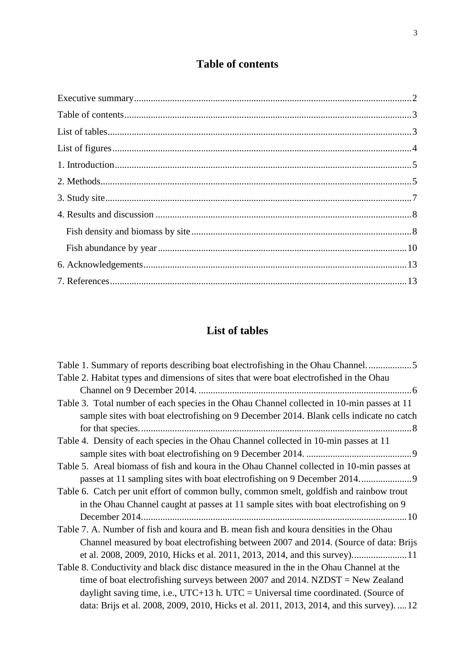### **Table of contents**

<span id="page-3-0"></span>

## **List of tables**

<span id="page-3-1"></span>

| Table 1. Summary of reports describing boat electrofishing in the Ohau Channel5            |
|--------------------------------------------------------------------------------------------|
| Table 2. Habitat types and dimensions of sites that were boat electrofished in the Ohau    |
|                                                                                            |
| Table 3. Total number of each species in the Ohau Channel collected in 10-min passes at 11 |
| sample sites with boat electrofishing on 9 December 2014. Blank cells indicate no catch    |
|                                                                                            |
| Table 4. Density of each species in the Ohau Channel collected in 10-min passes at 11      |
|                                                                                            |
| Table 5. Areal biomass of fish and koura in the Ohau Channel collected in 10-min passes at |
|                                                                                            |
| Table 6. Catch per unit effort of common bully, common smelt, goldfish and rainbow trout   |
| in the Ohau Channel caught at passes at 11 sample sites with boat electrofishing on 9      |
|                                                                                            |
| Table 7. A. Number of fish and koura and B. mean fish and koura densities in the Ohau      |
| Channel measured by boat electrofishing between 2007 and 2014. (Source of data: Brijs      |
| et al. 2008, 2009, 2010, Hicks et al. 2011, 2013, 2014, and this survey)11                 |
| Table 8. Conductivity and black disc distance measured in the in the Ohau Channel at the   |
| time of boat electrofishing surveys between 2007 and 2014. NZDST = New Zealand             |
| daylight saving time, i.e., UTC+13 h. UTC = Universal time coordinated. (Source of         |
| data: Brijs et al. 2008, 2009, 2010, Hicks et al. 2011, 2013, 2014, and this survey).  12  |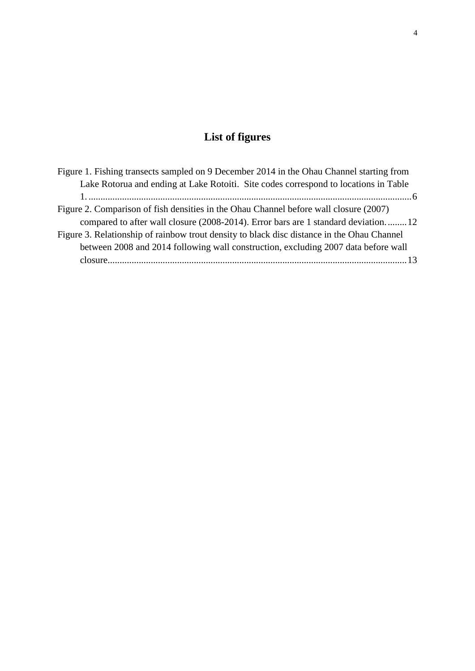## **List of figures**

<span id="page-4-0"></span>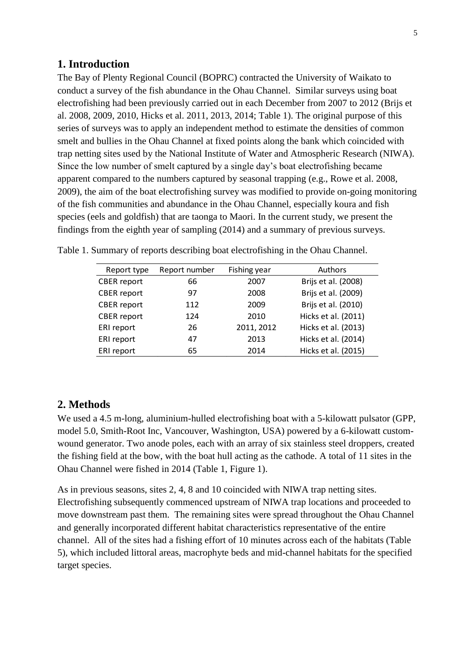#### <span id="page-5-0"></span>**1. Introduction**

The Bay of Plenty Regional Council (BOPRC) contracted the University of Waikato to conduct a survey of the fish abundance in the Ohau Channel. Similar surveys using boat electrofishing had been previously carried out in each December from 2007 to 2012 (Brijs et al. 2008, 2009, 2010, Hicks et al. 2011, 2013, 2014; Table 1). The original purpose of this series of surveys was to apply an independent method to estimate the densities of common smelt and bullies in the Ohau Channel at fixed points along the bank which coincided with trap netting sites used by the National Institute of Water and Atmospheric Research (NIWA). Since the low number of smelt captured by a single day's boat electrofishing became apparent compared to the numbers captured by seasonal trapping (e.g., Rowe et al. 2008, 2009), the aim of the boat electrofishing survey was modified to provide on-going monitoring of the fish communities and abundance in the Ohau Channel, especially koura and fish species (eels and goldfish) that are taonga to Maori. In the current study, we present the findings from the eighth year of sampling (2014) and a summary of previous surveys.

| Report type        | Report number | Fishing year | Authors             |
|--------------------|---------------|--------------|---------------------|
| <b>CBER</b> report | 66            | 2007         | Brijs et al. (2008) |
| <b>CBER</b> report | 97            | 2008         | Brijs et al. (2009) |
| <b>CBER</b> report | 112           | 2009         | Brijs et al. (2010) |
| <b>CBER</b> report | 124           | 2010         | Hicks et al. (2011) |
| ERI report         | 26            | 2011, 2012   | Hicks et al. (2013) |
| ERI report         | 47            | 2013         | Hicks et al. (2014) |
| ERI report         | 65            | 2014         | Hicks et al. (2015) |

<span id="page-5-2"></span>Table 1. Summary of reports describing boat electrofishing in the Ohau Channel.

#### <span id="page-5-1"></span>**2. Methods**

We used a 4.5 m-long, aluminium-hulled electrofishing boat with a 5-kilowatt pulsator (GPP, model 5.0, Smith-Root Inc, Vancouver, Washington, USA) powered by a 6-kilowatt customwound generator. Two anode poles, each with an array of six stainless steel droppers, created the fishing field at the bow, with the boat hull acting as the cathode. A total of 11 sites in the Ohau Channel were fished in 2014 (Table 1, Figure 1).

As in previous seasons, sites 2, 4, 8 and 10 coincided with NIWA trap netting sites. Electrofishing subsequently commenced upstream of NIWA trap locations and proceeded to move downstream past them. The remaining sites were spread throughout the Ohau Channel and generally incorporated different habitat characteristics representative of the entire channel. All of the sites had a fishing effort of 10 minutes across each of the habitats (Table 5), which included littoral areas, macrophyte beds and mid-channel habitats for the specified target species.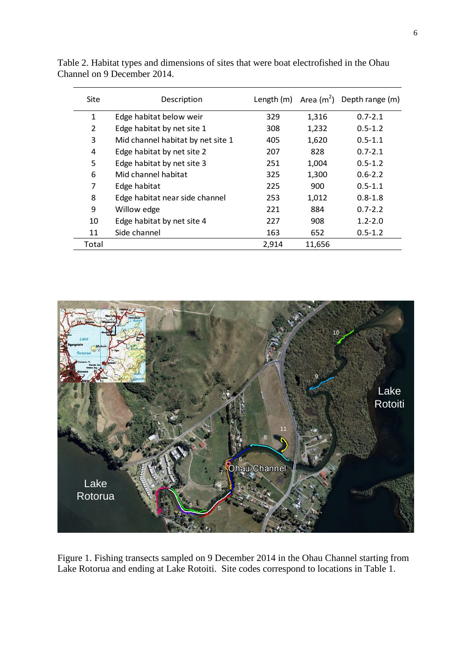| Site  | Description                       |       |        | Length $(m)$ Area $(m^2)$ Depth range $(m)$ |
|-------|-----------------------------------|-------|--------|---------------------------------------------|
| 1     | Edge habitat below weir           | 329   | 1,316  | $0.7 - 2.1$                                 |
| 2     | Edge habitat by net site 1        | 308   | 1,232  | $0.5 - 1.2$                                 |
| 3     | Mid channel habitat by net site 1 | 405   | 1,620  | $0.5 - 1.1$                                 |
| 4     | Edge habitat by net site 2        | 207   | 828    | $0.7 - 2.1$                                 |
| 5     | Edge habitat by net site 3        | 251   | 1,004  | $0.5 - 1.2$                                 |
| 6     | Mid channel habitat               | 325   | 1,300  | $0.6 - 2.2$                                 |
| 7     | Edge habitat                      | 225   | 900    | $0.5 - 1.1$                                 |
| 8     | Edge habitat near side channel    | 253   | 1,012  | $0.8 - 1.8$                                 |
| 9     | Willow edge                       | 221   | 884    | $0.7 - 2.2$                                 |
| 10    | Edge habitat by net site 4        | 227   | 908    | $1.2 - 2.0$                                 |
| 11    | Side channel                      | 163   | 652    | $0.5 - 1.2$                                 |
| Total |                                   | 2,914 | 11,656 |                                             |

<span id="page-6-0"></span>Table 2. Habitat types and dimensions of sites that were boat electrofished in the Ohau Channel on 9 December 2014.

<span id="page-6-1"></span>

Figure 1. Fishing transects sampled on 9 December 2014 in the Ohau Channel starting from Lake Rotorua and ending at Lake Rotoiti. Site codes correspond to locations in Table 1.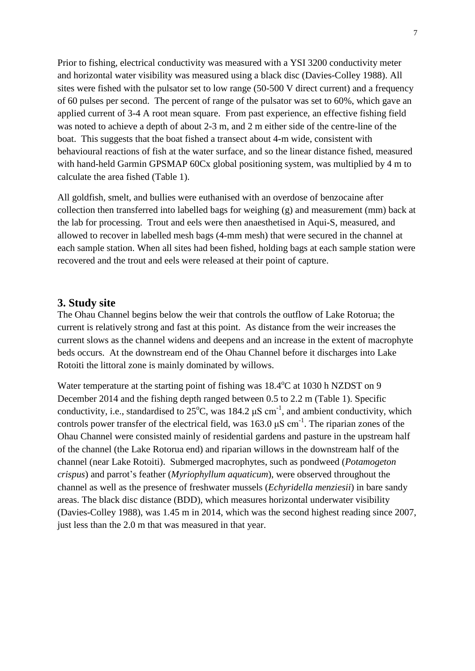Prior to fishing, electrical conductivity was measured with a YSI 3200 conductivity meter and horizontal water visibility was measured using a black disc (Davies-Colley 1988). All sites were fished with the pulsator set to low range (50-500 V direct current) and a frequency of 60 pulses per second. The percent of range of the pulsator was set to 60%, which gave an applied current of 3-4 A root mean square. From past experience, an effective fishing field was noted to achieve a depth of about 2-3 m, and 2 m either side of the centre-line of the boat. This suggests that the boat fished a transect about 4-m wide, consistent with behavioural reactions of fish at the water surface, and so the linear distance fished, measured with hand-held Garmin GPSMAP 60Cx global positioning system, was multiplied by 4 m to calculate the area fished (Table 1).

All goldfish, smelt, and bullies were euthanised with an overdose of benzocaine after collection then transferred into labelled bags for weighing (g) and measurement (mm) back at the lab for processing. Trout and eels were then anaesthetised in Aqui-S, measured, and allowed to recover in labelled mesh bags (4-mm mesh) that were secured in the channel at each sample station. When all sites had been fished, holding bags at each sample station were recovered and the trout and eels were released at their point of capture.

#### <span id="page-7-0"></span>**3. Study site**

The Ohau Channel begins below the weir that controls the outflow of Lake Rotorua; the current is relatively strong and fast at this point. As distance from the weir increases the current slows as the channel widens and deepens and an increase in the extent of macrophyte beds occurs. At the downstream end of the Ohau Channel before it discharges into Lake Rotoiti the littoral zone is mainly dominated by willows.

Water temperature at the starting point of fishing was  $18.4^{\circ}$ C at 1030 h NZDST on 9 December 2014 and the fishing depth ranged between 0.5 to 2.2 m (Table 1). Specific conductivity, i.e., standardised to  $25^{\circ}$ C, was 184.2  $\mu$ S cm<sup>-1</sup>, and ambient conductivity, which controls power transfer of the electrical field, was  $163.0 \,\mu\text{S cm}^{-1}$ . The riparian zones of the Ohau Channel were consisted mainly of residential gardens and pasture in the upstream half of the channel (the Lake Rotorua end) and riparian willows in the downstream half of the channel (near Lake Rotoiti). Submerged macrophytes, such as pondweed (*Potamogeton crispus*) and parrot's feather (*Myriophyllum aquaticum*), were observed throughout the channel as well as the presence of freshwater mussels (*Echyridella menziesii*) in bare sandy areas. The black disc distance (BDD), which measures horizontal underwater visibility (Davies-Colley 1988), was 1.45 m in 2014, which was the second highest reading since 2007, just less than the 2.0 m that was measured in that year.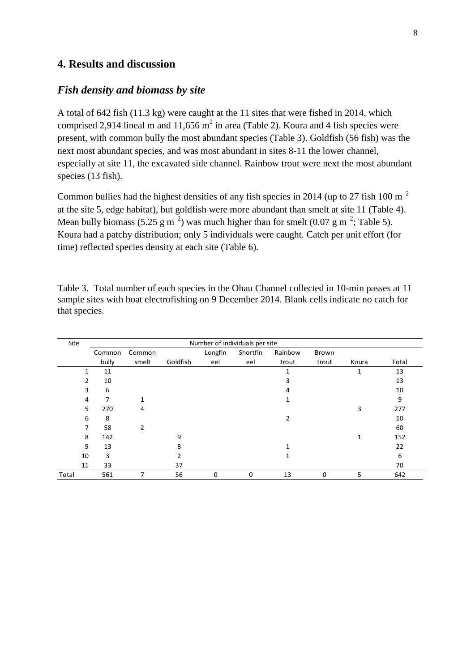### <span id="page-8-1"></span><span id="page-8-0"></span>**4. Results and discussion**

#### *Fish density and biomass by site*

A total of 642 fish (11.3 kg) were caught at the 11 sites that were fished in 2014, which comprised 2,914 lineal m and 11,656 m<sup>2</sup> in area (Table 2). Koura and 4 fish species were present, with common bully the most abundant species (Table 3). Goldfish (56 fish) was the next most abundant species, and was most abundant in sites 8-11 the lower channel, especially at site 11, the excavated side channel. Rainbow trout were next the most abundant species (13 fish).

Common bullies had the highest densities of any fish species in 2014 (up to 27 fish 100  $m^{-2}$ ) at the site 5, edge habitat), but goldfish were more abundant than smelt at site 11 (Table 4). Mean bully biomass (5.25 g m<sup>-2</sup>) was much higher than for smelt (0.07 g m<sup>-2</sup>; Table 5). Koura had a patchy distribution; only 5 individuals were caught. Catch per unit effort (for time) reflected species density at each site (Table 6).

| Site  |                                                             | Number of individuals per site |          |     |          |       |             |       |       |  |  |  |
|-------|-------------------------------------------------------------|--------------------------------|----------|-----|----------|-------|-------------|-------|-------|--|--|--|
|       | Longfin<br>Shortfin<br>Rainbow<br>Brown<br>Common<br>Common |                                |          |     |          |       |             |       |       |  |  |  |
|       | bully                                                       | smelt                          | Goldfish | eel | eel      | trout | trout       | Koura | Total |  |  |  |
| 1     | 11                                                          |                                |          |     |          |       |             | 1     | 13    |  |  |  |
| 2     | 10                                                          |                                |          |     |          | 3     |             |       | 13    |  |  |  |
| 3     | 6                                                           |                                |          |     |          | 4     |             |       | 10    |  |  |  |
| 4     | 7                                                           | $\mathbf{1}$                   |          |     |          |       |             |       | 9     |  |  |  |
| 5     | 270                                                         | 4                              |          |     |          |       |             | 3     | 277   |  |  |  |
| 6     | 8                                                           |                                |          |     |          | 2     |             |       | 10    |  |  |  |
| 7     | 58                                                          | 2                              |          |     |          |       |             |       | 60    |  |  |  |
| 8     | 142                                                         |                                | 9        |     |          |       |             | 1     | 152   |  |  |  |
| 9     | 13                                                          |                                | 8        |     |          |       |             |       | 22    |  |  |  |
| 10    | 3                                                           |                                |          |     |          |       |             |       | 6     |  |  |  |
| 11    | 33                                                          |                                | 37       |     |          |       |             |       | 70    |  |  |  |
| Total | 561                                                         | 7                              | 56       | 0   | $\Omega$ | 13    | $\mathbf 0$ | 5     | 642   |  |  |  |

<span id="page-8-2"></span>Table 3. Total number of each species in the Ohau Channel collected in 10-min passes at 11 sample sites with boat electrofishing on 9 December 2014. Blank cells indicate no catch for that species.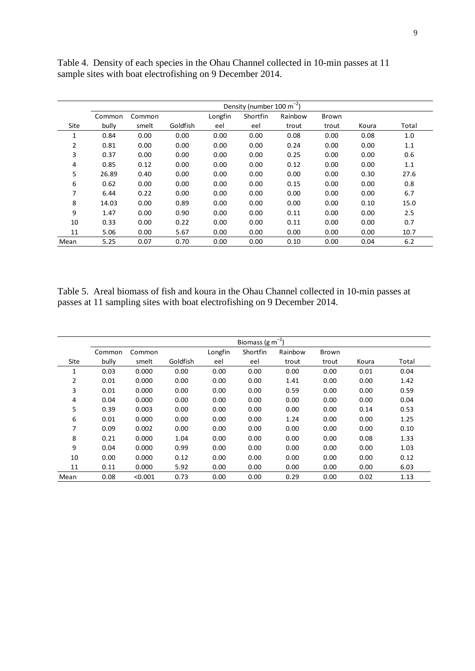|      | Density (number 100 m <sup>-2</sup> ) |        |          |         |          |         |       |       |       |  |
|------|---------------------------------------|--------|----------|---------|----------|---------|-------|-------|-------|--|
|      | Common                                | Common |          | Longfin | Shortfin | Rainbow | Brown |       |       |  |
| Site | bully                                 | smelt  | Goldfish | eel     | eel      | trout   | trout | Koura | Total |  |
| 1    | 0.84                                  | 0.00   | 0.00     | 0.00    | 0.00     | 0.08    | 0.00  | 0.08  | 1.0   |  |
| 2    | 0.81                                  | 0.00   | 0.00     | 0.00    | 0.00     | 0.24    | 0.00  | 0.00  | 1.1   |  |
| 3    | 0.37                                  | 0.00   | 0.00     | 0.00    | 0.00     | 0.25    | 0.00  | 0.00  | 0.6   |  |
| 4    | 0.85                                  | 0.12   | 0.00     | 0.00    | 0.00     | 0.12    | 0.00  | 0.00  | 1.1   |  |
| 5    | 26.89                                 | 0.40   | 0.00     | 0.00    | 0.00     | 0.00    | 0.00  | 0.30  | 27.6  |  |
| 6    | 0.62                                  | 0.00   | 0.00     | 0.00    | 0.00     | 0.15    | 0.00  | 0.00  | 0.8   |  |
| 7    | 6.44                                  | 0.22   | 0.00     | 0.00    | 0.00     | 0.00    | 0.00  | 0.00  | 6.7   |  |
| 8    | 14.03                                 | 0.00   | 0.89     | 0.00    | 0.00     | 0.00    | 0.00  | 0.10  | 15.0  |  |
| 9    | 1.47                                  | 0.00   | 0.90     | 0.00    | 0.00     | 0.11    | 0.00  | 0.00  | 2.5   |  |
| 10   | 0.33                                  | 0.00   | 0.22     | 0.00    | 0.00     | 0.11    | 0.00  | 0.00  | 0.7   |  |
| 11   | 5.06                                  | 0.00   | 5.67     | 0.00    | 0.00     | 0.00    | 0.00  | 0.00  | 10.7  |  |
| Mean | 5.25                                  | 0.07   | 0.70     | 0.00    | 0.00     | 0.10    | 0.00  | 0.04  | 6.2   |  |

<span id="page-9-0"></span>Table 4. Density of each species in the Ohau Channel collected in 10-min passes at 11 sample sites with boat electrofishing on 9 December 2014.

<span id="page-9-1"></span>Table 5. Areal biomass of fish and koura in the Ohau Channel collected in 10-min passes at passes at 11 sampling sites with boat electrofishing on 9 December 2014.

|      | Biomass ( $gm^{-2}$ ) |         |          |         |          |         |       |       |       |  |
|------|-----------------------|---------|----------|---------|----------|---------|-------|-------|-------|--|
|      | Common                | Common  |          | Longfin | Shortfin | Rainbow | Brown |       |       |  |
| Site | bully                 | smelt   | Goldfish | eel     | eel      | trout   | trout | Koura | Total |  |
| 1    | 0.03                  | 0.000   | 0.00     | 0.00    | 0.00     | 0.00    | 0.00  | 0.01  | 0.04  |  |
| 2    | 0.01                  | 0.000   | 0.00     | 0.00    | 0.00     | 1.41    | 0.00  | 0.00  | 1.42  |  |
| 3    | 0.01                  | 0.000   | 0.00     | 0.00    | 0.00     | 0.59    | 0.00  | 0.00  | 0.59  |  |
| 4    | 0.04                  | 0.000   | 0.00     | 0.00    | 0.00     | 0.00    | 0.00  | 0.00  | 0.04  |  |
| 5    | 0.39                  | 0.003   | 0.00     | 0.00    | 0.00     | 0.00    | 0.00  | 0.14  | 0.53  |  |
| 6    | 0.01                  | 0.000   | 0.00     | 0.00    | 0.00     | 1.24    | 0.00  | 0.00  | 1.25  |  |
| 7    | 0.09                  | 0.002   | 0.00     | 0.00    | 0.00     | 0.00    | 0.00  | 0.00  | 0.10  |  |
| 8    | 0.21                  | 0.000   | 1.04     | 0.00    | 0.00     | 0.00    | 0.00  | 0.08  | 1.33  |  |
| 9    | 0.04                  | 0.000   | 0.99     | 0.00    | 0.00     | 0.00    | 0.00  | 0.00  | 1.03  |  |
| 10   | 0.00                  | 0.000   | 0.12     | 0.00    | 0.00     | 0.00    | 0.00  | 0.00  | 0.12  |  |
| 11   | 0.11                  | 0.000   | 5.92     | 0.00    | 0.00     | 0.00    | 0.00  | 0.00  | 6.03  |  |
| Mean | 0.08                  | < 0.001 | 0.73     | 0.00    | 0.00     | 0.29    | 0.00  | 0.02  | 1.13  |  |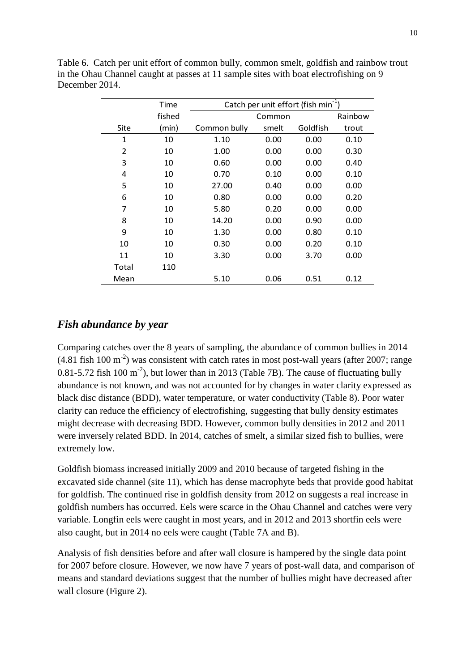| : 2014.        |        |              |                                                 |          |         |  |  |  |  |  |
|----------------|--------|--------------|-------------------------------------------------|----------|---------|--|--|--|--|--|
|                | Time   |              | Catch per unit effort (fish min <sup>-1</sup> ) |          |         |  |  |  |  |  |
|                | fished |              | Common                                          |          | Rainbow |  |  |  |  |  |
| Site           | (min)  | Common bully | smelt                                           | Goldfish | trout   |  |  |  |  |  |
| 1              | 10     | 1.10         | 0.00                                            | 0.00     | 0.10    |  |  |  |  |  |
| $\overline{2}$ | 10     | 1.00         | 0.00                                            | 0.00     | 0.30    |  |  |  |  |  |
| 3              | 10     | 0.60         | 0.00                                            | 0.00     | 0.40    |  |  |  |  |  |
| 4              | 10     | 0.70         | 0.10                                            | 0.00     | 0.10    |  |  |  |  |  |
| 5              | 10     | 27.00        | 0.40                                            | 0.00     | 0.00    |  |  |  |  |  |
| 6              | 10     | 0.80         | 0.00                                            | 0.00     | 0.20    |  |  |  |  |  |
| 7              | 10     | 5.80         | 0.20                                            | 0.00     | 0.00    |  |  |  |  |  |
| 8              | 10     | 14.20        | 0.00                                            | 0.90     | 0.00    |  |  |  |  |  |
| 9              | 10     | 1.30         | 0.00                                            | 0.80     | 0.10    |  |  |  |  |  |
| 10             | 10     | 0.30         | 0.00                                            | 0.20     | 0.10    |  |  |  |  |  |
| 11             | 10     | 3.30         | 0.00                                            | 3.70     | 0.00    |  |  |  |  |  |
| Total          | 110    |              |                                                 |          |         |  |  |  |  |  |
| Mean           |        | 5.10         | 0.06                                            | 0.51     | 0.12    |  |  |  |  |  |

<span id="page-10-1"></span>Table 6. Catch per unit effort of common bully, common smelt, goldfish and rainbow trout in the Ohau Channel caught at passes at 11 sample sites with boat electrofishing on 9 December 2014.

### <span id="page-10-0"></span>*Fish abundance by year*

Comparing catches over the 8 years of sampling, the abundance of common bullies in 2014  $(4.81$  fish 100 m<sup>-2</sup>) was consistent with catch rates in most post-wall years (after 2007; range 0.81-5.72 fish 100 m<sup>-2</sup>), but lower than in 2013 (Table 7B). The cause of fluctuating bully abundance is not known, and was not accounted for by changes in water clarity expressed as black disc distance (BDD), water temperature, or water conductivity (Table 8). Poor water clarity can reduce the efficiency of electrofishing, suggesting that bully density estimates might decrease with decreasing BDD. However, common bully densities in 2012 and 2011 were inversely related BDD. In 2014, catches of smelt, a similar sized fish to bullies, were extremely low.

Goldfish biomass increased initially 2009 and 2010 because of targeted fishing in the excavated side channel (site 11), which has dense macrophyte beds that provide good habitat for goldfish. The continued rise in goldfish density from 2012 on suggests a real increase in goldfish numbers has occurred. Eels were scarce in the Ohau Channel and catches were very variable. Longfin eels were caught in most years, and in 2012 and 2013 shortfin eels were also caught, but in 2014 no eels were caught (Table 7A and B).

Analysis of fish densities before and after wall closure is hampered by the single data point for 2007 before closure. However, we now have 7 years of post-wall data, and comparison of means and standard deviations suggest that the number of bullies might have decreased after wall closure (Figure 2).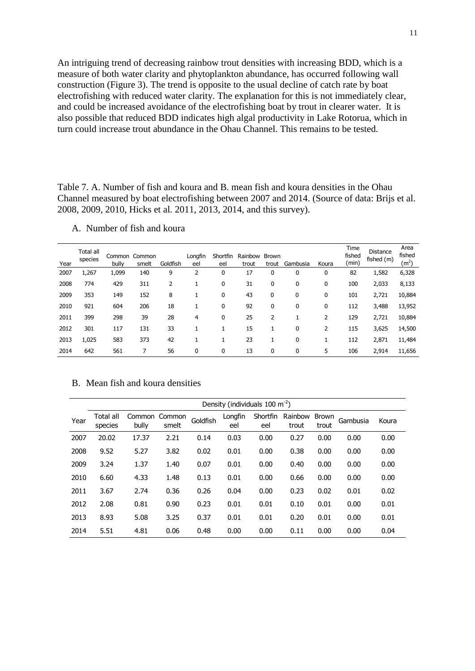<span id="page-11-0"></span>An intriguing trend of decreasing rainbow trout densities with increasing BDD, which is a measure of both water clarity and phytoplankton abundance, has occurred following wall construction (Figure 3). The trend is opposite to the usual decline of catch rate by boat electrofishing with reduced water clarity. The explanation for this is not immediately clear, and could be increased avoidance of the electrofishing boat by trout in clearer water. It is also possible that reduced BDD indicates high algal productivity in Lake Rotorua, which in turn could increase trout abundance in the Ohau Channel. This remains to be tested.

Table 7. A. Number of fish and koura and B. mean fish and koura densities in the Ohau Channel measured by boat electrofishing between 2007 and 2014. (Source of data: Brijs et al. 2008, 2009, 2010, Hicks et al. 2011, 2013, 2014, and this survey).

|      | Number of fish and koura<br>А. |                 |                 |                |                |                 |                  |                |              |       |                         |                               |                                     |
|------|--------------------------------|-----------------|-----------------|----------------|----------------|-----------------|------------------|----------------|--------------|-------|-------------------------|-------------------------------|-------------------------------------|
| Year | <b>Total all</b><br>species    | Common<br>bully | Common<br>smelt | Goldfish       | Longfin<br>eel | Shortfin<br>eel | Rainbow<br>trout | Brown<br>trout | Gambusia     | Koura | Time<br>fished<br>(min) | <b>Distance</b><br>fished (m) | Area<br>fished<br>(m <sup>2</sup> ) |
| 2007 | 1,267                          | 1,099           | 140             | 9              | 2              | 0               | 17               | 0              | 0            | 0     | 82                      | 1,582                         | 6,328                               |
| 2008 | 774                            | 429             | 311             | $\overline{2}$ | 1              | 0               | 31               | 0              | 0            | 0     | 100                     | 2,033                         | 8,133                               |
| 2009 | 353                            | 149             | 152             | 8              | 1              | 0               | 43               | 0              | 0            | 0     | 101                     | 2,721                         | 10,884                              |
| 2010 | 921                            | 604             | 206             | 18             | 1              | 0               | 92               | 0              | 0            | 0     | 112                     | 3,488                         | 13,952                              |
| 2011 | 399                            | 298             | 39              | 28             | 4              | 0               | 25               | 2              | $\mathbf{1}$ | 2     | 129                     | 2,721                         | 10,884                              |
| 2012 | 301                            | 117             | 131             | 33             | $\mathbf{1}$   | $\mathbf{1}$    | 15               | 1              | 0            | 2     | 115                     | 3,625                         | 14,500                              |
| 2013 | 1,025                          | 583             | 373             | 42             | 1              | 1               | 23               | 1              | $\mathbf 0$  | 1     | 112                     | 2,871                         | 11,484                              |
| 2014 | 642                            | 561             | 7               | 56             | 0              | 0               | 13               | 0              | 0            | 5     | 106                     | 2,914                         | 11,656                              |

A. Number of fish and koura

|      | Density (individuals $100 \text{ m}^{-2}$ ) |                 |                 |          |                |                 |                  |                       |          |       |  |
|------|---------------------------------------------|-----------------|-----------------|----------|----------------|-----------------|------------------|-----------------------|----------|-------|--|
| Year | Total all<br>species                        | Common<br>bully | Common<br>smelt | Goldfish | Longfin<br>eel | Shortfin<br>eel | Rainbow<br>trout | <b>Brown</b><br>trout | Gambusia | Koura |  |
| 2007 | 20.02                                       | 17.37           | 2.21            | 0.14     | 0.03           | 0.00            | 0.27             | 0.00                  | 0.00     | 0.00  |  |
| 2008 | 9.52                                        | 5.27            | 3.82            | 0.02     | 0.01           | 0.00            | 0.38             | 0.00                  | 0.00     | 0.00  |  |
| 2009 | 3.24                                        | 1.37            | 1.40            | 0.07     | 0.01           | 0.00            | 0.40             | 0.00                  | 0.00     | 0.00  |  |
| 2010 | 6.60                                        | 4.33            | 1.48            | 0.13     | 0.01           | 0.00            | 0.66             | 0.00                  | 0.00     | 0.00  |  |
| 2011 | 3.67                                        | 2.74            | 0.36            | 0.26     | 0.04           | 0.00            | 0.23             | 0.02                  | 0.01     | 0.02  |  |
| 2012 | 2.08                                        | 0.81            | 0.90            | 0.23     | 0.01           | 0.01            | 0.10             | 0.01                  | 0.00     | 0.01  |  |
| 2013 | 8.93                                        | 5.08            | 3.25            | 0.37     | 0.01           | 0.01            | 0.20             | 0.01                  | 0.00     | 0.01  |  |
| 2014 | 5.51                                        | 4.81            | 0.06            | 0.48     | 0.00           | 0.00            | 0.11             | 0.00                  | 0.00     | 0.04  |  |

#### B. Mean fish and koura densities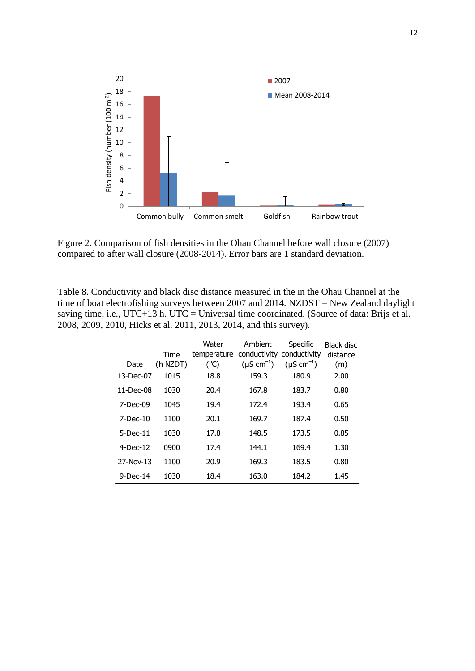

<span id="page-12-1"></span>Figure 2. Comparison of fish densities in the Ohau Channel before wall closure (2007) compared to after wall closure (2008-2014). Error bars are 1 standard deviation.

<span id="page-12-0"></span>Table 8. Conductivity and black disc distance measured in the in the Ohau Channel at the time of boat electrofishing surveys between 2007 and 2014. NZDST = New Zealand daylight saving time, i.e.,  $UTC+13$  h.  $UTC = Universal$  time coordinated. (Source of data: Brijs et al. 2008, 2009, 2010, Hicks et al. 2011, 2013, 2014, and this survey).

| Date        | Time<br>(h NZDT) | Water<br>temperature<br>(°C) | Ambient<br>$(\mu S \text{ cm}^{-1})$ | Specific<br>conductivity conductivity<br>$(\mu S \text{ cm}^{-1})$ | <b>Black disc</b><br>distance<br>(m) |
|-------------|------------------|------------------------------|--------------------------------------|--------------------------------------------------------------------|--------------------------------------|
| 13-Dec-07   | 1015             | 18.8                         | 159.3                                | 180.9                                                              | 2.00                                 |
| $11-Dec-08$ | 1030             | 20.4                         | 167.8                                | 183.7                                                              | 0.80                                 |
| $7-Dec-09$  | 1045             | 19.4                         | 172.4                                | 193.4                                                              | 0.65                                 |
| 7-Dec-10    | 1100             | 20.1                         | 169.7                                | 187.4                                                              | 0.50                                 |
| $5-Dec-11$  | 1030             | 17.8                         | 148.5                                | 173.5                                                              | 0.85                                 |
| $4$ -Dec-12 | 0900             | 17.4                         | 144.1                                | 169.4                                                              | 1.30                                 |
| 27-Nov-13   | 1100             | 20.9                         | 169.3                                | 183.5                                                              | 0.80                                 |
| $9$ -Dec-14 | 1030             | 18.4                         | 163.0                                | 184.2                                                              | 1.45                                 |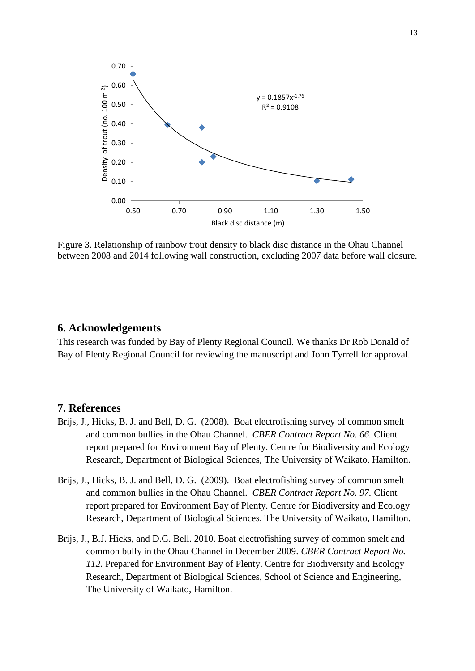

<span id="page-13-2"></span>Figure 3. Relationship of rainbow trout density to black disc distance in the Ohau Channel between 2008 and 2014 following wall construction, excluding 2007 data before wall closure.

#### <span id="page-13-0"></span>**6. Acknowledgements**

This research was funded by Bay of Plenty Regional Council. We thanks Dr Rob Donald of Bay of Plenty Regional Council for reviewing the manuscript and John Tyrrell for approval.

#### <span id="page-13-1"></span>**7. References**

- Brijs, J., Hicks, B. J. and Bell, D. G. (2008). Boat electrofishing survey of common smelt and common bullies in the Ohau Channel. *CBER Contract Report No. 66.* Client report prepared for Environment Bay of Plenty. Centre for Biodiversity and Ecology Research, Department of Biological Sciences, The University of Waikato, Hamilton.
- Brijs, J., Hicks, B. J. and Bell, D. G. (2009). Boat electrofishing survey of common smelt and common bullies in the Ohau Channel. *CBER Contract Report No. 97.* Client report prepared for Environment Bay of Plenty. Centre for Biodiversity and Ecology Research, Department of Biological Sciences, The University of Waikato, Hamilton.
- Brijs, J., B.J. Hicks, and D.G. Bell. 2010. Boat electrofishing survey of common smelt and common bully in the Ohau Channel in December 2009. *CBER Contract Report No. 112.* Prepared for Environment Bay of Plenty. Centre for Biodiversity and Ecology Research, Department of Biological Sciences, School of Science and Engineering, The University of Waikato, Hamilton.